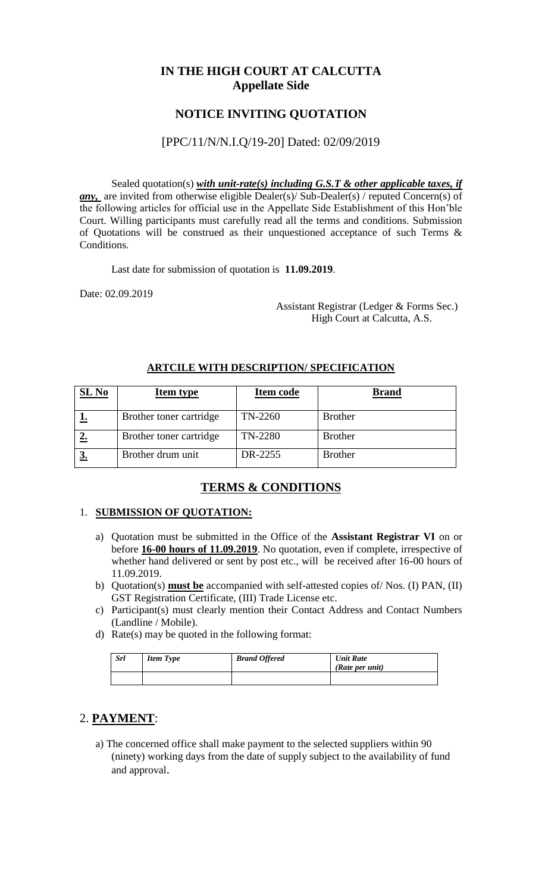# **IN THE HIGH COURT AT CALCUTTA Appellate Side**

# **NOTICE INVITING QUOTATION**

#### [PPC/11/N/N.I.Q/19-20] Dated: 02/09/2019

Sealed quotation(s) *with unit-rate(s) including G.S.T & other applicable taxes, if any*, are invited from otherwise eligible Dealer(s)/ Sub-Dealer(s) / reputed Concern(s) of the following articles for official use in the Appellate Side Establishment of this Hon'ble Court. Willing participants must carefully read all the terms and conditions. Submission of Quotations will be construed as their unquestioned acceptance of such Terms & Conditions.

Last date for submission of quotation is **11.09.2019**.

Date: 02.09.2019

 Assistant Registrar (Ledger & Forms Sec.) High Court at Calcutta, A.S.

| SL No | <b>Item type</b>        | <b>Item code</b> | <b>Brand</b>   |
|-------|-------------------------|------------------|----------------|
|       | Brother toner cartridge | TN-2260          | <b>Brother</b> |
|       | Brother toner cartridge | TN-2280          | <b>Brother</b> |
|       | Brother drum unit       | DR-2255          | <b>Brother</b> |

#### **ARTCILE WITH DESCRIPTION/ SPECIFICATION**

### **TERMS & CONDITIONS**

#### 1. **SUBMISSION OF QUOTATION:**

- a) Quotation must be submitted in the Office of the **Assistant Registrar VI** on or before **16-00 hours of 11.09.2019**. No quotation, even if complete, irrespective of whether hand delivered or sent by post etc., will be received after 16-00 hours of 11.09.2019.
- b) Quotation(s) **must be** accompanied with self-attested copies of/ Nos. (I) PAN, (II) GST Registration Certificate, (III) Trade License etc.
- c) Participant(s) must clearly mention their Contact Address and Contact Numbers (Landline / Mobile).
- d) Rate(s) may be quoted in the following format:

| <b>Srl</b> | <b>Item Type</b> | <b>Brand Offered</b> | <b>Unit Rate</b><br>(Rate per unit) |
|------------|------------------|----------------------|-------------------------------------|
|            |                  |                      |                                     |

### 2. **PAYMENT**:

a) The concerned office shall make payment to the selected suppliers within 90 (ninety) working days from the date of supply subject to the availability of fund and approval.